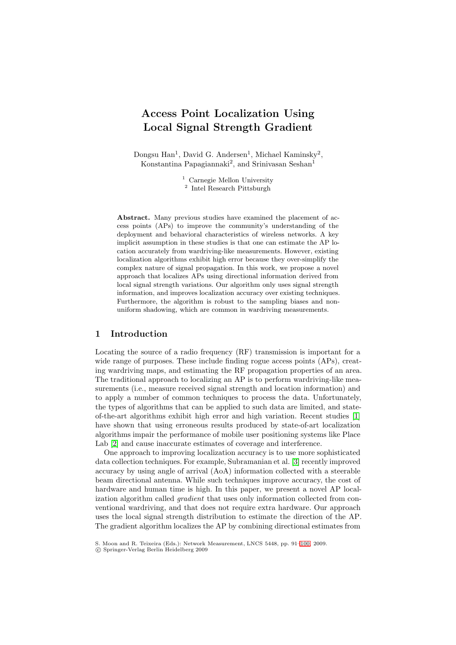# **Access Point Localization Using Local Signal Strength Gradient**

Dongsu Han<sup>1</sup>, David G. Andersen<sup>1</sup>, Michael Kaminsky<sup>2</sup>, Konstantina Papagiannaki<sup>2</sup>, and Srinivasan Seshan<sup>1</sup>

> <sup>1</sup> Carnegie Mellon University <sup>2</sup> Intel Research Pittsburgh

**Abstract.** Many previous studies have examined the placement of access points (APs) to improve the community's understanding of the deployment and behavioral characteristics of wireless networks. A key implicit assumption in these studies is that one can estimate the AP location accurately from wardriving-like measurements. However, existing localization algorithms exhibit high error because they over-simplify the complex nature of signal propagation. In this work, we propose a novel approach that localizes APs using directional information derived from local signal strength variations. Our algorithm only uses signal strength information, and improves localization accuracy over existing techniques. Furthermore, the algorithm is robust to the sampling biases and nonuniform shadowing, which are common in wardriving measurements.

## **1 Introduction**

Locating the source of a radio frequency (RF) transmission is important for a wide range of purposes. These include finding rogue access points (APs), creating wardriving maps, and estimating the RF propagation properties of an area. The traditional approach to localizing an AP is to perform wardriving-like measurements (i.e., measure received signal strength and location information) and to apply a number of common techniques to process the data. Unfortunately, the types of algorithms that can be applied to such data are limited, and stateof-the-art algorithms exhibit high error and high variation. Recent studies [1] have shown that using erroneous results produced by state-of-art localization algorithms impair the performance of mobile user positioning systems like Place Lab [2] and cause inaccurate estimates of coverage and interference.

One approach to improving localization accuracy is to use more sophisticat[ed](#page-9-0) data collection techniques. For example, Subramanian et al. [3] recently improved accuracy by using angle of arrival (AoA) information collected with a steerable bea[m d](#page-9-1)irectional antenna. While such techniques improve accuracy, the cost of hardware and human time is high. In this paper, we present a novel AP localization algorithm called *gradient* that uses only informatio[n c](#page-9-2)ollected from conventional wardriving, and that does not require extra hardware. Our approach uses the local signal strength distribution to estimate the direction of the AP. The gradient algorithm localizes the AP by combining directional estimates from

S. Moon and R. Teixeira (Eds.): Network Measurement, LNCS 5448, pp. 91–100, 2009.

<sup>-</sup>c Springer-Verlag Berlin Heidelberg 2009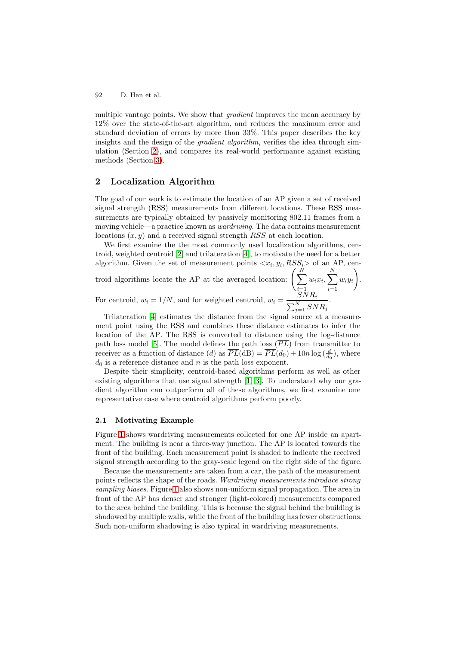multiple vantage points. We show that *gradient* improves the mean accuracy by 12% over the state-of-the-art algorithm, and reduces the maximum error and standard deviation of errors by more than 33%. This paper describes the key insights and the design of the *gradient algorithm*, verifies the idea through simulation (Section 2), and compares its real-world performance against existing methods (Section 3).

# **2 Localizat[io](#page-1-0)n Algorithm**

<span id="page-1-0"></span>The goal of our w[or](#page-5-0)k is to estimate the location of an AP given a set of received signal strength (RSS) measurements from different locations. These RSS measurements are typically obtained by passively monitoring 802.11 frames from a moving vehicle—a practice known as *wardriving*. The data contains measurement locations (*x, y*) and a received signal strength *RSS* at each location.

We first examine the the most commonly used localization algorithms, centroid, weighted centroid [2] and trilateration [4], to motivate the need for a better algorithm. Given the set of measurement points  $\langle x_i, y_i, RSS_i \rangle$  of an AP, centroid algorithms locate the AP at the averaged location:  $\left(\sum_{i=1}^{N} x_i\right)^{N}$ *N i*=1  $w_i x_i, \sum$ *N i*=1  $w_i y_i$ . For centroid,  $w_i = 1/N$ , and for weighted centroid,  $w_i = \frac{SNR_i}{N}$  $\frac{\sum_{j=1}^{N} SNR_j}{\sum_{j=1}^{N} SNR_j}$ . Trilateration [4] estimates the distance from the signal source at a measure-

ment point using the RSS and combines these distance estimates to infer the location of the AP. The RSS is converted to distance using the log-distance path loss model [5]. The model defines the path loss (*P L*) from transmitter to receiver as a fun[ct](#page-9-3)ion of distance (*d*) as  $\overline{PL}(\text{dB}) = \overline{PL}(d_0) + 10n \log(\frac{d}{d_0})$ , where  $d_0$  is a reference distance and  $n$  is the path loss exponent.

Despite their simplicity, centroid-based algorithms perform as well as other existing algorith[ms](#page-9-4) that use signal strength [1, 3]. To understand why our gradient algorithm can outperform all of these algorithms, we first examine one representative case where centroid algorithms perform poorly.

### **2.1 Motivating Example**

Figure 1 shows wardriving measurements collected for one AP inside an apartment. The building is near a three-way junction. The AP is located towards the front of the building. Each measurement point is shaded to indicate the received signal strength according to the gray-scale legend on the right side of the figure.

Bec[au](#page-2-0)se the measurements are taken from a car, the path of the measurement points reflects the shape of the roads. *Wardriving measurements introduce strong sampling biases.* Figure 1 also shows non-uniform signal propagation. The area in front of the AP has denser and stronger (light-colored) measurements compared to the area behind the building. This is because the signal behind the building is shadowed by multiple walls, while the front of the building has fewer obstructions. Such non-uniform shad[ow](#page-2-0)ing is also typical in wardriving measurements.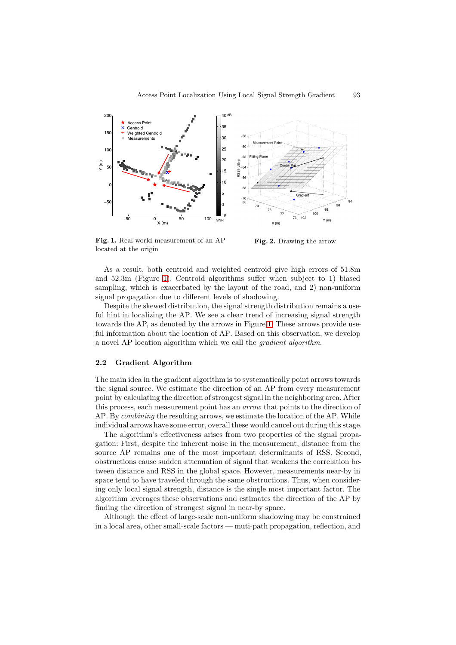

**Fig. 1.** Real world measurement of an AP located at the origin

<span id="page-2-1"></span>

<span id="page-2-0"></span>As a result, both centroid and weighted centroid give high errors of 51.8m and 52.3m (Figure 1). Centroid algorithms suffer when subject to 1) biased sampling, which is exacerbated by the layout of the road, and 2) non-uniform signal propagation due to different levels of shadowing.

Despite the skewed distribution, the signal strength distribution remains a useful hint in localizin[g t](#page-2-0)he AP. We see a clear trend of increasing signal strength towards the AP, as denoted by the arrows in Figure 1. These arrows provide useful information about the location of AP. Based on this observation, we develop a novel AP location algorithm which we call the *gradient algorithm*.

### **2.2 Gradient Algorithm**

<span id="page-2-2"></span>The main idea in the gradient algorithm is to systematically point arrows towards the signal source. We estimate the direction of an AP from every measurement point by calculating the direction of strongest signal in the neighboring area. After this process, each measurement point has an *arrow* that points to the direction of AP. By *combining* the resulting arrows, we estimate the location of the AP. While individual arrows have some error, overall these would cancel out during this stage.

The algorithm's effectiveness arises from two properties of the signal propagation: First, despite the inherent noise in the measurement, distance from the source AP remains one of the most important determinants of RSS. Second, obstructions cause sudden attenuation of signal that weakens the correlation between distance and RSS in the global space. However, measurements near-by in space tend to have traveled through the same obstructions. Thus, when considering only local signal strength, distance is the single most important factor. The algorithm leverages these observations and estimates the direction of the AP by finding the direction of strongest signal in near-by space.

Although the effect of large-scale non-uniform shadowing may be constrained in a local area, other small-scale factors — muti-path propagation, reflection, and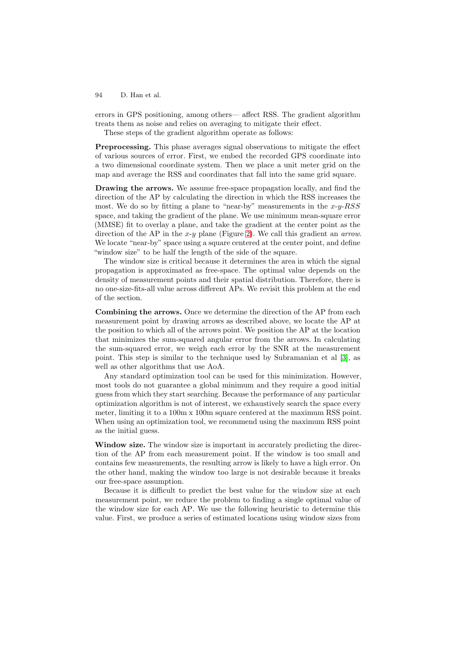#### 94 D. Han et al.

errors in GPS positioning, among others— affect RSS. The gradient algorithm treats them as noise and relies on averaging to mitigate their effect.

These steps of the gradient algorithm operate as follows:

**Preprocessing.** This phase averages signal observations to mitigate the effect of various sources of error. First, we embed the recorded GPS coordinate into a two dimensional coordinate system. Then we place a unit meter grid on the map and average the RSS and coordinates that fall into the same grid square.

**Drawing the arrows.** We assume free-space propagation locally, and find the direction of the AP by calculating the direction in which the RSS increases the most. We do so by fitting a plane to "near-by" measurements in the *x*-*y*-*RSS* space, and taking the gradient of the plane. We use minimum mean-square error (MMSE) fit to overlay a plane, and take the gradient at the center point as the direction of the AP in the *x*-*y* plane (Figure 2). We call this gradient an *arrow*. We locate "near-by" space using a square centered at the center point, and define "window size" to be half the length of the side of the square.

The window size is critical because it determines the area in which the signal propagation is approximated as free-space. [Th](#page-2-1)e optimal value depends on the density of measurement points and their spatial distribution. Therefore, there is no one-size-fits-all value across different APs. We revisit this problem at the end of the section.

**Combining the arrows.** Once we determine the direction of the AP from each measurement point by drawing arrows as described above, we locate the AP at the position to which all of the arrows point. We position the AP at the location that minimizes the sum-squared angular error from the arrows. In calculating the sum-squared error, we weigh each error by the SNR at the measurement point. This step is similar to the technique used by Subramanian et al [3], as well as other algorithms that use AoA.

Any standard optimization tool can be used for this minimization. However, most tools do not guarantee a global minimum and they require a good initial guess from which they start searching. Because the performance of any par[tic](#page-9-2)ular optimization algorithm is not of interest, we exhaustively search the space every meter, limiting it to a 100m x 100m square centered at the maximum RSS point. When using an optimization tool, we recommend using the maximum RSS point as the initial guess.

**Window size.** The window size is important in accurately predicting the direction of the AP from each measurement point. If the window is too small and contains few measurements, the resulting arrow is likely to have a high error. On the other hand, making the window too large is not desirable because it breaks our free-space assumption.

Because it is difficult to predict the best value for the window size at each measurement point, we reduce the problem to finding a single optimal value of the window size for each AP. We use the following heuristic to determine this value. First, we produce a series of estimated locations using window sizes from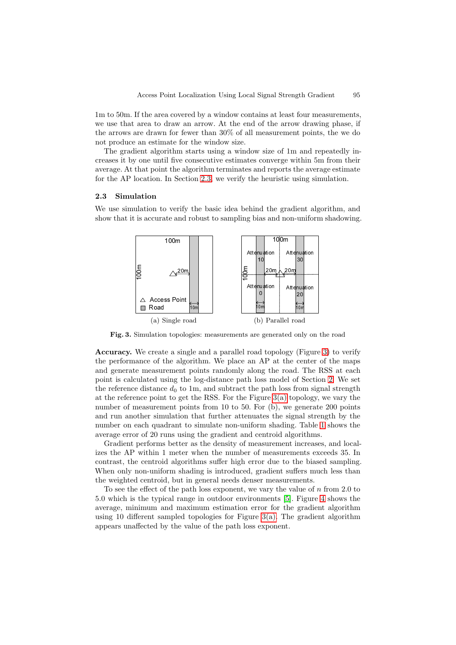1m to 50m. If the area covered by a window contains at least four measurements, we use that area to draw an arrow. At the end of the arrow drawing phase, if the arrows are drawn for fewer than 30% of all measurement points, the we do not produce an estimate for the window size.

The gradient algorithm starts using a window size of 1m and repeatedly increases it by one until five consecutive estimates converge within 5m from their average. At that point the algorithm terminates and reports the average estimate for the AP location. In Section 2.3, we verify the heuristic using simulation.

### **2.3 Simulation**

<span id="page-4-0"></span>We use simulation to verify the basic idea behind the gradient algorithm, and show that it is accurate and rob[ust](#page-4-0) to sampling bias and non-uniform shadowing.

<span id="page-4-2"></span>

**Fig. 3.** Simulation topologies: measurements are generated only on the road

<span id="page-4-1"></span>**Accuracy.** We create a single and a parallel road topology (Figure 3) to verify the performance of the algorithm. We place an AP at the center of the maps and generate measurement points randomly along the road. The RSS at each point is calculated using the log-distance path loss model of Section 2. We set the reference distance  $d_0$  to 1m, and subtract the path loss from sig[na](#page-4-1)l strength at the reference point to get the RSS. For the Figure 3(a) topology, we vary the number of measurement points from 10 to 50. For (b), we generate 200 points and run another simulation that further attenuates the signal stren[gth](#page-1-0) by the number on each quadrant to simulate non-uniform shading. Table 1 shows the average error of 20 runs using the gradient and centr[oid a](#page-4-2)lgorithms.

Gradient performs better as the density of measurement increases, and localizes the AP within 1 meter when the number of measurements exceeds 35. In contrast, the centroid algorithms suffer high error due to the bias[ed](#page-5-1) sampling. When only non-uniform shading is introduced, gradient suffers much less than the weighted centroid, but in general needs denser measurements.

To see the effect of the path loss exponent, we vary the value of *n* from 2.0 to 5.0 which is the typical range in outdoor environments [5]. Figure 4 shows the average, minimum and maximum estimation error for the gradient algorithm using 10 different sampled topologies for Figure  $3(a)$ . The gradient algorithm appears unaffected by the value of the path loss exponent.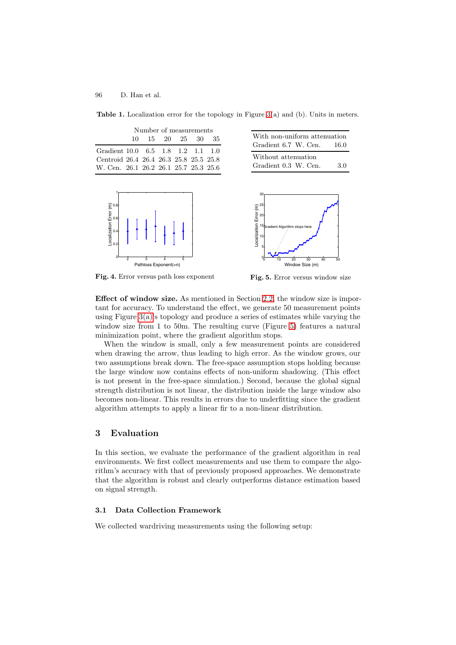#### 96 D. Han et al.

Number of measurements 10 15 20 25 30 35 With non-uniform attenuation

**Table 1.** Localization error for the topology in Figure 3(a) and (b). Units in meters.

<span id="page-5-1"></span>

**Fig. 4.** Error versus path loss exponent

<span id="page-5-2"></span>**Fig. 5.** Error versus window size

**Effect of window size.** As mentioned in Section 2.2, the window size is important for accuracy. To understand the effect, we generate 50 measurement points using Figure  $3(a)$ 's topology and produce a series of estimates while varying the window size from 1 to 50m. The resulting curve (Figure 5) features a natural minimization point, where the gradient algorithm [stop](#page-2-2)s.

When the window is small, only a few measurement points are considered when drawi[ng the](#page-4-2) arrow, thus leading to high error. As the window grows, our two assumptions break down. The free-space assumption [sto](#page-5-2)ps holding because the large window now contains effects of non-uniform shadowing. (This effect is not present in the free-space simulation.) Second, because the global signal strength distribution is not linear, the distribution inside the large window also becomes non-linear. This results in errors due to underfitting since the gradient algorithm attempts to apply a linear fir to a non-linear distribution.

### **3 Evaluation**

<span id="page-5-0"></span>In this section, we evaluate the performance of the gradient algorithm in real environments. We first collect measurements and use them to compare the algorithm's accuracy with that of previously proposed approaches. We demonstrate that the algorithm is robust and clearly outperforms distance estimation based on signal strength.

# **3.1 Data Collection Framework**

<span id="page-5-3"></span>We collected wardriving measurements using the following setup: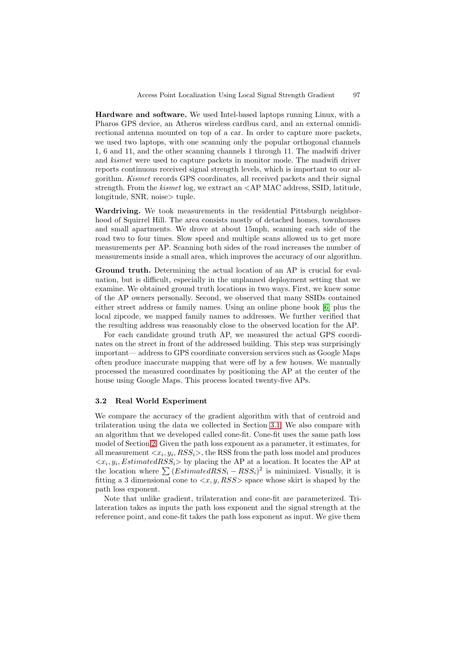**Hardware and software.** We used Intel-based laptops running Linux, with a Pharos GPS device, an Atheros wireless cardbus card, and an external omnidirectional antenna mounted on top of a car. In order to capture more packets, we used two laptops, with one scanning only the popular orthogonal channels 1, 6 and 11, and the other scanning channels 1 through 11. The madwifi driver and *kismet* were used to capture packets in monitor mode. The madwifi driver reports continuous received signal strength levels, which is important to our algorithm. *Kismet* records GPS coordinates, all received packets and their signal strength. From the *kismet* log, we extract an *<*AP MAC address, SSID, latitude, longitude, SNR, noise*>* tuple.

**Wardriving.** We took measurements in the residential Pittsburgh neighborhood of Squirrel Hill. The area consists mostly of detached homes, townhouses and small apartments. We drove at about 15mph, scanning each side of the road two to four times. Slow speed and multiple scans allowed us to get more measurements per AP. Scanning both sides of the road increases the number of measurements inside a small area, which improves the accuracy of our algorithm.

**Ground truth.** Determining the actual location of an AP is crucial for evaluation, but is difficult, especially in the unplanned deployment setting that we examine. We obtained ground truth locations in two ways. First, we knew some of the AP owners personally. Second, we observed that many SSIDs contained either street address or family names. Using an online phone book [6] plus the local zipcode, we mapped family names to addresses. We further verified that the resulting address was reasonably close to the observed location for the AP.

For each candidate ground truth AP, we measured the actual GPS coordinates on the street in front of the addressed building. This step was [su](#page-9-5)rprisingly important— address to GPS coordinate conversion services such as Google Maps often produce inaccurate mapping that were off by a few houses. We manually processed the measured coordinates by positioning the AP at the center of the house using Google Maps. This process located twenty-five APs.

### **3.2 Real World Experiment**

We compare the accuracy of the gradient algorithm with that of centroid and trilateration using the data we collected in Section 3.1. We also compare with an algorithm that we developed called cone-fit. Cone-fit uses the same path loss model of Section 2. Given the path loss exponent as a parameter, it estimates, for all measurement  $\langle x_i, y_i, RSS_i \rangle$ , the RSS from the path loss model and produces  $\langle x_i, y_i, EstimatedRSS_i \rangle$  by placing the AP at a lo[cati](#page-5-3)on. It locates the AP at the location where  $\sum (Estimated RSS_i - RSS_i)^2$  is minimized. Visually, it is fitting a 3 dime[nsi](#page-1-0)onal cone to  $\langle x, y, RSS \rangle$  space whose skirt is shaped by the path loss exponent.

Note that unlike gradient, trilateration and cone-fit are parameterized. Trilateration takes as inputs the path loss exponent and the signal strength at the reference point, and cone-fit takes the path loss exponent as input. We give them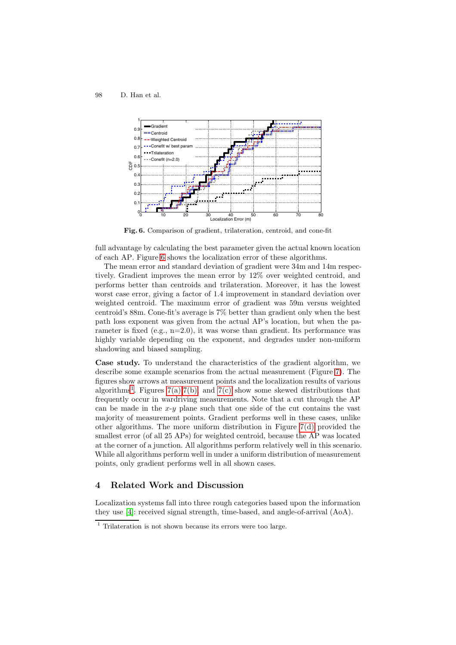

<span id="page-7-0"></span>**Fig. 6.** Comparison of gradient, trilateration, centroid, and cone-fit

full advantage by calculating the best parameter given the actual known location of each AP. Figure 6 shows the localization error of these algorithms.

The mean error and standard deviation of gradient were 34m and 14m respectively. Gradient improves the mean error by 12% over weighted centroid, and performs better than centroids and trilateration. Moreover, it has the lowest worst case error, gi[vin](#page-7-0)g a factor of 1.4 improvement in standard deviation over weighted centroid. The maximum error of gradient was 59m versus weighted centroid's 88m. Cone-fit's average is 7% better than gradient only when the best path loss exponent was given from the actual AP's location, but when the parameter is fixed (e.g.,  $n=2.0$ ), it was worse than gradient. Its performance was highly variable depending on the exponent, and degrades under non-uniform shadowing and biased sampling.

**Case study.** To understand the characteristics of the gradient algorithm, we describe some example scenarios from the actual measurement (Figure 7). The figures show arrows at measurement points and the localization results of various algorithms<sup>1</sup>. Figures 7(a),7(b), and 7(c) show some skewed distributions that frequently occur in wardriving measurements. Note that a cut through the AP can be made in the *x*-*y* plane such that one side of the cut contains [th](#page-8-0)e vast majority of measurement points. Gradient performs well in these cases, unlike other algo[ri](#page-7-1)thms. T[he mo](#page-8-1)[re un](#page-8-2)ifor[m dis](#page-8-3)tribution in Figure 7(d) provided the smallest error (of all 25 APs) for weighted centroid, because the AP was located at the corner of a junction. All algorithms perform relatively well in this scenario. While all algorithms perform well in under a uniform distribution of measurement points, only gradient performs well in all shown cases.

# **4 Related Work and Discussion**

Localization systems fall into three rough categories based upon the information they use [4]: received signal strength, time-based, and angle-of-arrival (AoA).

<span id="page-7-1"></span> $1$  Trilateration is not shown because its errors were too large.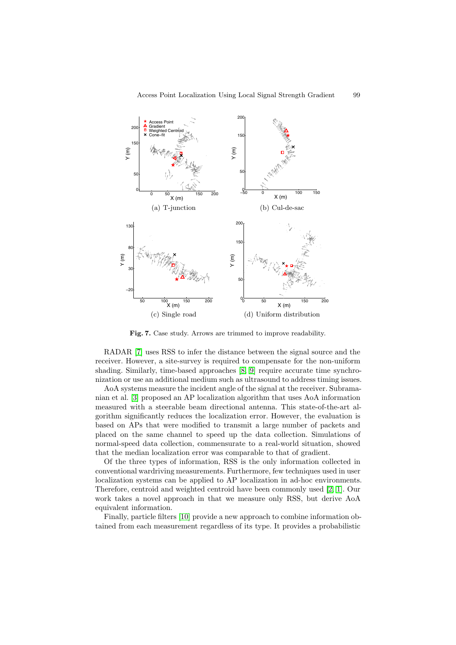<span id="page-8-1"></span>

<span id="page-8-3"></span><span id="page-8-2"></span><span id="page-8-0"></span>**Fig. 7.** Case study. Arrows are trimmed to improve readability.

RADAR [7] uses RSS to infer the distance between the signal source and the receiver. However, a site-survey is required to compensate for the non-uniform shading. Similarly, time-based approaches [8, 9] require accurate time synchronization or use an additional medium such as ultrasound to address timing issues.

AoA syst[em](#page-9-6)s measure the incident angle of the signal at the receiver. Subramanian et al. [3] proposed an AP localization algorithm that uses AoA information measured with a steerable beam direction[al](#page-9-7) [an](#page-9-8)tenna. This state-of-the-art algorithm significantly reduces the localization error. However, the evaluation is based on APs that were modified to transmit a large number of packets and placed on [th](#page-9-2)e same channel to speed up the data collection. Simulations of normal-speed data collection, commensurate to a real-world situation, showed that the median localization error was comparable to that of gradient.

Of the three types of information, RSS is the only information collected in conventional wardriving measurements. Furthermore, few techniques used in user localization systems can be applied to AP localization in ad-hoc environments. Therefore, centroid and weighted centroid have been commonly used [2, 1]. Our work takes a novel approach in that we measure only RSS, but derive AoA equivalent information.

Finally, particle filters [10] provide a new approach to combine information obtained from each measurement regardless of its type. It provides a pr[ob](#page-9-1)[ab](#page-9-0)ilistic